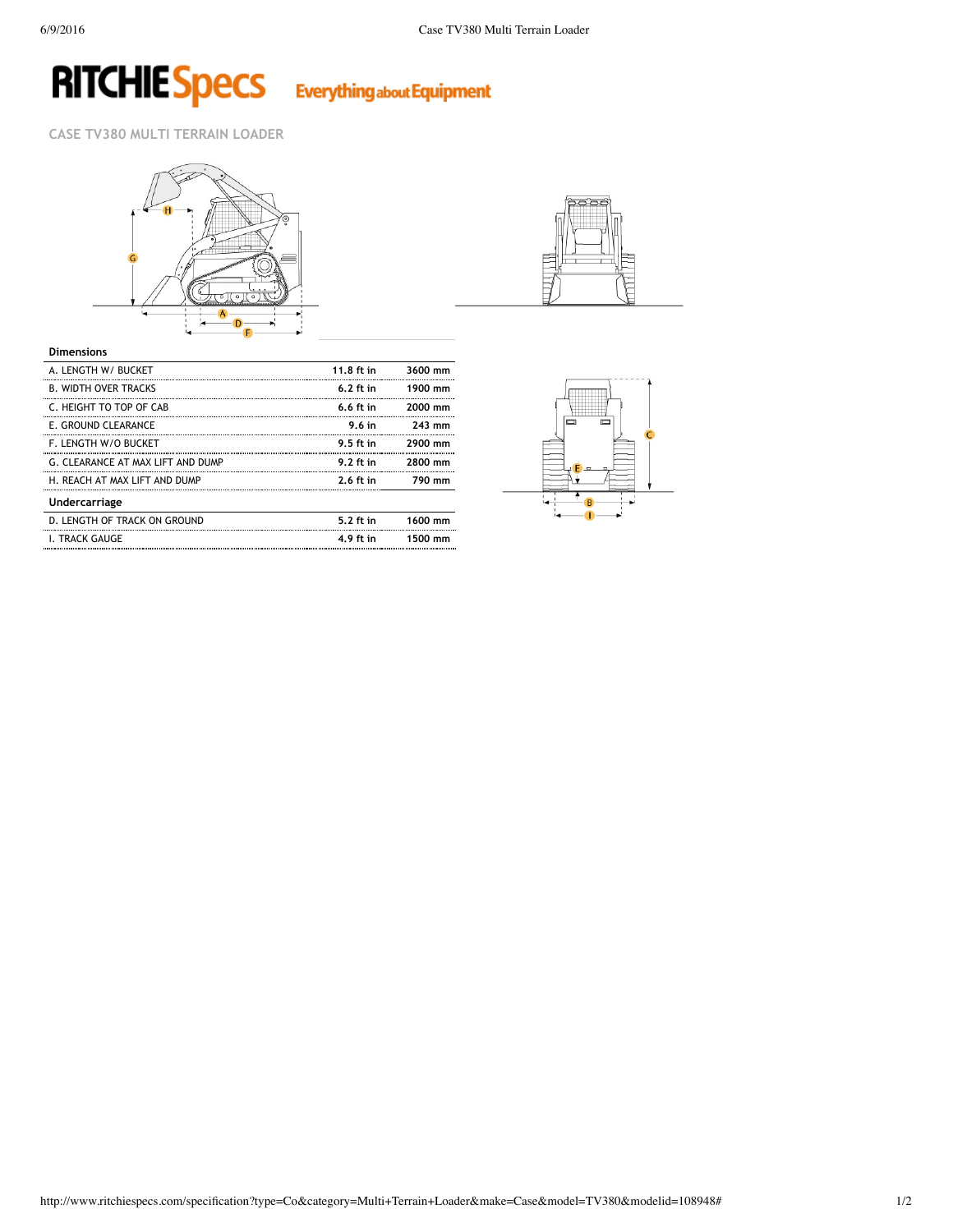# **RITCHIE Specs**

**Everything about Equipment** 

**CASE TV380 MULTI TERRAIN LOADER**





### **Dimensions**

| A. LENGTH W/ BUCKET               | 11.8 ft in  | 3600 mm |
|-----------------------------------|-------------|---------|
| <b>B. WIDTH OVER TRACKS</b>       | $6.2$ ft in | 1900 mm |
| C. HEIGHT TO TOP OF CAB           | $6.6$ ft in | 2000 mm |
| E. GROUND CLEARANCE               | 9.6in       | 243 mm  |
| <b>F. LENGTH W/O BUCKET</b>       | 9.5 ft in   | 2900 mm |
| G. CLEARANCE AT MAX LIFT AND DUMP | $9.2$ ft in | 2800 mm |
| H. REACH AT MAX LIFT AND DUMP     | $2.6$ ft in | 790 mm  |
| Undercarriage                     |             |         |
| D. LENGTH OF TRACK ON GROUND      | 5.2 ft in   | 1600 mm |
| <b>I. TRACK GAUGE</b>             | 4.9 ft in   | 1500 mm |
|                                   |             |         |